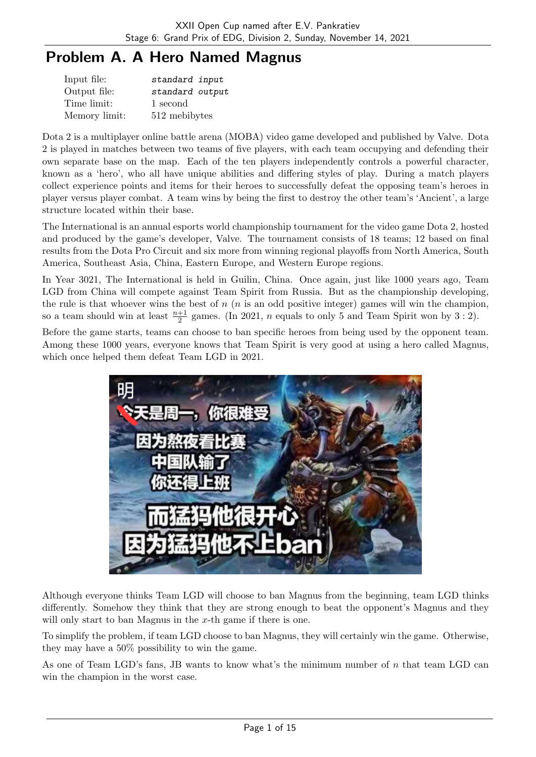# Problem A. A Hero Named Magnus

| Input file:   | standard input  |
|---------------|-----------------|
| Output file:  | standard output |
| Time limit:   | 1 second        |
| Memory limit: | 512 mebibytes   |

Dota 2 is a multiplayer online battle arena (MOBA) video game developed and published by Valve. Dota 2 is played in matches between two teams of five players, with each team occupying and defending their own separate base on the map. Each of the ten players independently controls a powerful character, known as a 'hero', who all have unique abilities and differing styles of play. During a match players collect experience points and items for their heroes to successfully defeat the opposing team's heroes in player versus player combat. A team wins by being the first to destroy the other team's 'Ancient', a large structure located within their base.

The International is an annual esports world championship tournament for the video game Dota 2, hosted and produced by the game's developer, Valve. The tournament consists of 18 teams; 12 based on final results from the Dota Pro Circuit and six more from winning regional playoffs from North America, South America, Southeast Asia, China, Eastern Europe, and Western Europe regions.

In Year 3021, The International is held in Guilin, China. Once again, just like 1000 years ago, Team LGD from China will compete against Team Spirit from Russia. But as the championship developing, the rule is that whoever wins the best of  $n(n)$  is an odd positive integer) games will win the champion, so a team should win at least  $\frac{n+1}{2}$  games. (In 2021, *n* equals to only 5 and Team Spirit won by 3 : 2).

Before the game starts, teams can choose to ban specific heroes from being used by the opponent team. Among these 1000 years, everyone knows that Team Spirit is very good at using a hero called Magnus, which once helped them defeat Team LGD in 2021.



Although everyone thinks Team LGD will choose to ban Magnus from the beginning, team LGD thinks differently. Somehow they think that they are strong enough to beat the opponent's Magnus and they will only start to ban Magnus in the  $x$ -th game if there is one.

To simplify the problem, if team LGD choose to ban Magnus, they will certainly win the game. Otherwise, they may have a 50% possibility to win the game.

As one of Team LGD's fans, JB wants to know what's the minimum number of n that team LGD can win the champion in the worst case.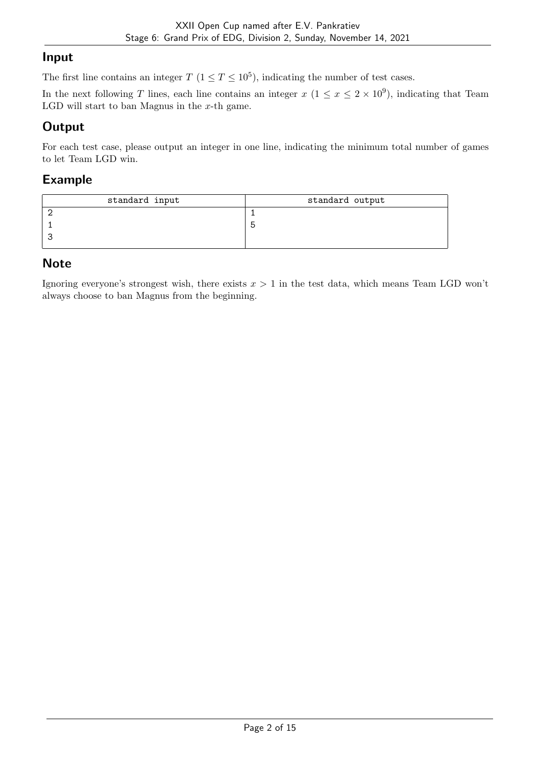#### Input

The first line contains an integer  $T (1 \le T \le 10^5)$ , indicating the number of test cases.

In the next following T lines, each line contains an integer  $x (1 \le x \le 2 \times 10^9)$ , indicating that Team LGD will start to ban Magnus in the  $x$ -th game.

## **Output**

For each test case, please output an integer in one line, indicating the minimum total number of games to let Team LGD win.

#### Example

| standard input | standard output |
|----------------|-----------------|
|                |                 |
|                |                 |
|                |                 |
|                |                 |

### **Note**

Ignoring everyone's strongest wish, there exists  $x > 1$  in the test data, which means Team LGD won't always choose to ban Magnus from the beginning.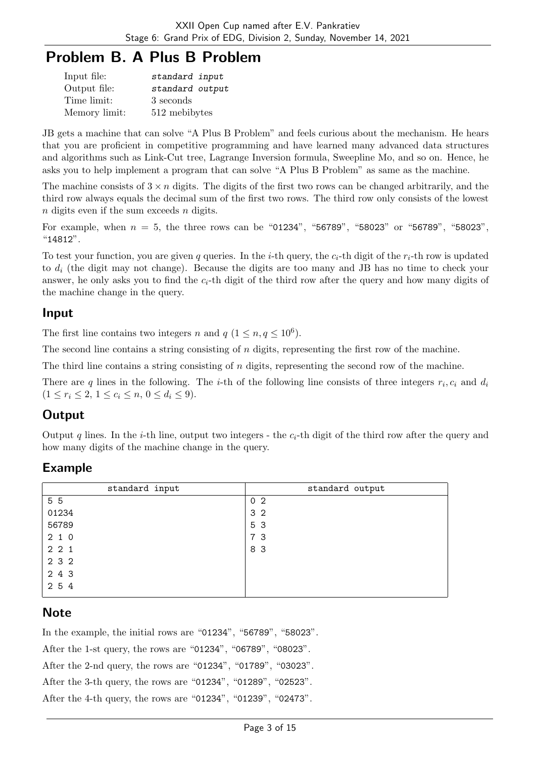## Problem B. A Plus B Problem

| Input file:   | standard input  |
|---------------|-----------------|
| Output file:  | standard output |
| Time limit:   | 3 seconds       |
| Memory limit: | 512 mebibytes   |

JB gets a machine that can solve "A Plus B Problem" and feels curious about the mechanism. He hears that you are proficient in competitive programming and have learned many advanced data structures and algorithms such as Link-Cut tree, Lagrange Inversion formula, Sweepline Mo, and so on. Hence, he asks you to help implement a program that can solve "A Plus B Problem" as same as the machine.

The machine consists of  $3 \times n$  digits. The digits of the first two rows can be changed arbitrarily, and the third row always equals the decimal sum of the first two rows. The third row only consists of the lowest  $n$  digits even if the sum exceeds  $n$  digits.

For example, when  $n = 5$ , the three rows can be "01234", "56789", "58023" or "56789", "58023", "14812".

To test your function, you are given q queries. In the i-th query, the  $c_i$ -th digit of the  $r_i$ -th row is updated to  $d_i$  (the digit may not change). Because the digits are too many and JB has no time to check your answer, he only asks you to find the  $c_i$ -th digit of the third row after the query and how many digits of the machine change in the query.

#### Input

The first line contains two integers n and  $q$   $(1 \leq n, q \leq 10^6)$ .

The second line contains a string consisting of  $n$  digits, representing the first row of the machine.

The third line contains a string consisting of  $n$  digits, representing the second row of the machine.

There are q lines in the following. The *i*-th of the following line consists of three integers  $r_i, c_i$  and  $d_i$  $(1 \leq r_i \leq 2, 1 \leq c_i \leq n, 0 \leq d_i \leq 9).$ 

## **Output**

Output q lines. In the *i*-th line, output two integers - the  $c_i$ -th digit of the third row after the query and how many digits of the machine change in the query.

## Example

| standard input | standard output |
|----------------|-----------------|
| 5 5            | 0 <sub>2</sub>  |
| 01234          | 3 <sub>2</sub>  |
| 56789          | 5 3             |
| 210            | 7 3             |
| 221            | 8 3             |
| 2 3 2          |                 |
| 2 4 3          |                 |
| 2 5 4          |                 |

#### **Note**

In the example, the initial rows are "01234", "56789", "58023". After the 1-st query, the rows are "01234", "06789", "08023". After the 2-nd query, the rows are "01234", "01789", "03023". After the 3-th query, the rows are "01234", "01289", "02523". After the 4-th query, the rows are "01234", "01239", "02473".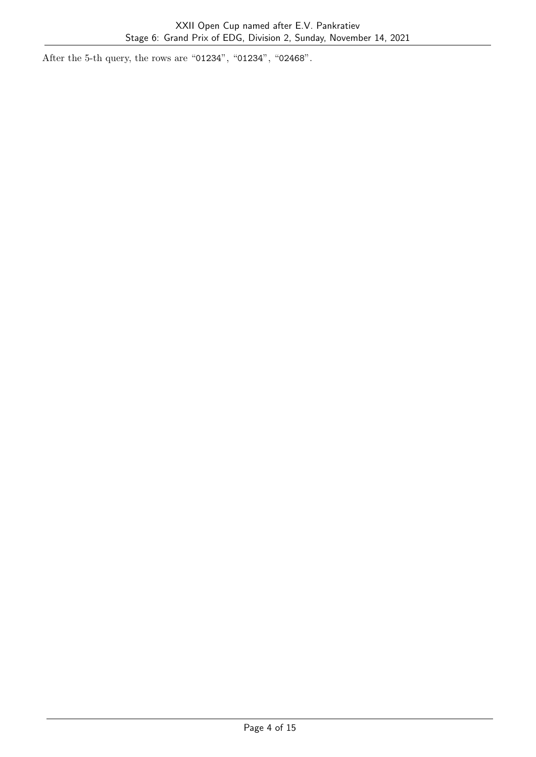After the 5-th query, the rows are "01234", "01234", "02468".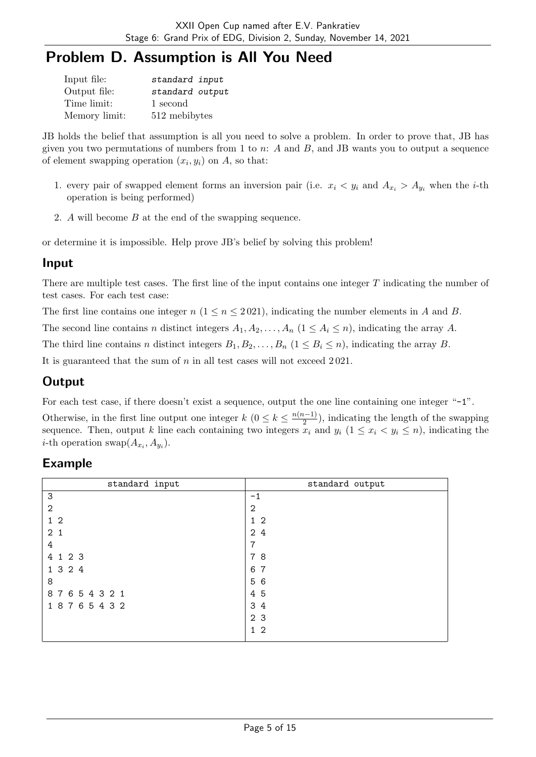## Problem D. Assumption is All You Need

| Input file:   | standard input  |
|---------------|-----------------|
| Output file:  | standard output |
| Time limit:   | 1 second        |
| Memory limit: | 512 mebibytes   |

JB holds the belief that assumption is all you need to solve a problem. In order to prove that, JB has given you two permutations of numbers from 1 to  $n: A$  and  $B$ , and JB wants you to output a sequence of element swapping operation  $(x_i, y_i)$  on A, so that:

- 1. every pair of swapped element forms an inversion pair (i.e.  $x_i \leq y_i$  and  $A_{x_i} > A_{y_i}$  when the *i*-th operation is being performed)
- 2. A will become B at the end of the swapping sequence.

or determine it is impossible. Help prove JB's belief by solving this problem!

#### Input

There are multiple test cases. The first line of the input contains one integer T indicating the number of test cases. For each test case:

The first line contains one integer  $n (1 \le n \le 2021)$ , indicating the number elements in A and B.

The second line contains n distinct integers  $A_1, A_2, \ldots, A_n$   $(1 \leq A_i \leq n)$ , indicating the array A.

The third line contains n distinct integers  $B_1, B_2, \ldots, B_n$   $(1 \le B_i \le n)$ , indicating the array B.

It is guaranteed that the sum of  $n$  in all test cases will not exceed 2021.

## **Output**

For each test case, if there doesn't exist a sequence, output the one line containing one integer "-1".

Otherwise, in the first line output one integer  $k$   $(0 \leq k \leq \frac{n(n-1)}{2})$  $\frac{2^{(l-1)}}{2}$ , indicating the length of the swapping sequence. Then, output k line each containing two integers  $x_i$  and  $y_i$  ( $1 \le x_i \le y_i \le n$ ), indicating the *i*-th operation swap $(A_{x_i}, A_{y_i}).$ 

| standard input | standard output |
|----------------|-----------------|
| 3              | $-1$            |
| $\mathbf{2}$   | 2               |
| 1 <sub>2</sub> | $1\,2$          |
| 2 <sub>1</sub> | 2 4             |
| 4              | 7               |
| 4 1 2 3        | 78              |
| 1 3 2 4        | 6 7             |
| 8              | 5 6             |
| 87654321       | 4 5             |
| 18765432       | 3 4             |
|                | 2 <sub>3</sub>  |
|                | $1\quad2$       |
|                |                 |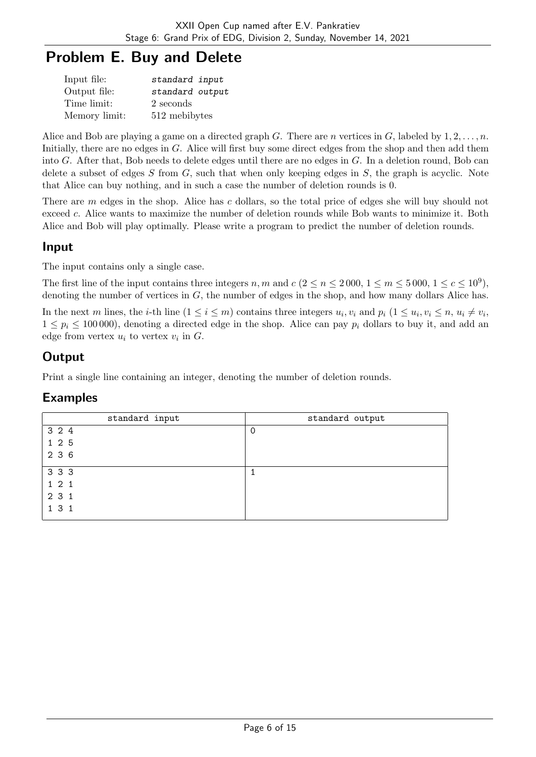# Problem E. Buy and Delete

| Input file:   | standard input  |
|---------------|-----------------|
| Output file:  | standard output |
| Time limit:   | 2 seconds       |
| Memory limit: | 512 mebibytes   |

Alice and Bob are playing a game on a directed graph G. There are n vertices in G, labeled by  $1, 2, \ldots, n$ . Initially, there are no edges in G. Alice will first buy some direct edges from the shop and then add them into G. After that, Bob needs to delete edges until there are no edges in  $G$ . In a deletion round, Bob can delete a subset of edges  $S$  from  $G$ , such that when only keeping edges in  $S$ , the graph is acyclic. Note that Alice can buy nothing, and in such a case the number of deletion rounds is 0.

There are m edges in the shop. Alice has c dollars, so the total price of edges she will buy should not exceed c. Alice wants to maximize the number of deletion rounds while Bob wants to minimize it. Both Alice and Bob will play optimally. Please write a program to predict the number of deletion rounds.

#### Input

The input contains only a single case.

The first line of the input contains three integers n, m and  $c$  ( $2 \le n \le 2000$ ,  $1 \le m \le 5000$ ,  $1 \le c \le 10^9$ ), denoting the number of vertices in  $G$ , the number of edges in the shop, and how many dollars Alice has.

In the next m lines, the *i*-th line  $(1 \le i \le m)$  contains three integers  $u_i, v_i$  and  $p_i$   $(1 \le u_i, v_i \le n, u_i \ne v_i,$  $1 \leq p_i \leq 100000$ , denoting a directed edge in the shop. Alice can pay  $p_i$  dollars to buy it, and add an edge from vertex  $u_i$  to vertex  $v_i$  in  $G$ .

## Output

Print a single line containing an integer, denoting the number of deletion rounds.

| standard input | standard output |
|----------------|-----------------|
| 3 2 4          | $\Omega$        |
| 1 2 5          |                 |
| 2 3 6          |                 |
| 3 3 3          |                 |
| 121            |                 |
| 2 3 1          |                 |
| 1 3 1          |                 |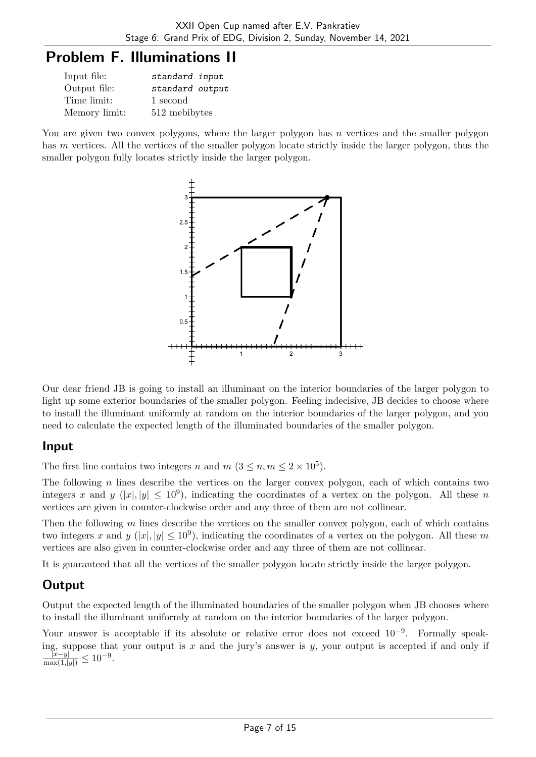## Problem F. Illuminations II

| Input file:   | standard input  |
|---------------|-----------------|
| Output file:  | standard output |
| Time limit:   | 1 second        |
| Memory limit: | 512 mebibytes   |

You are given two convex polygons, where the larger polygon has n vertices and the smaller polygon has m vertices. All the vertices of the smaller polygon locate strictly inside the larger polygon, thus the smaller polygon fully locates strictly inside the larger polygon.



Our dear friend JB is going to install an illuminant on the interior boundaries of the larger polygon to light up some exterior boundaries of the smaller polygon. Feeling indecisive, JB decides to choose where to install the illuminant uniformly at random on the interior boundaries of the larger polygon, and you need to calculate the expected length of the illuminated boundaries of the smaller polygon.

#### Input

The first line contains two integers n and  $m$   $(3 \leq n, m \leq 2 \times 10^5)$ .

The following n lines describe the vertices on the larger convex polygon, each of which contains two integers x and y  $(|x|, |y| \leq 10^9)$ , indicating the coordinates of a vertex on the polygon. All these n vertices are given in counter-clockwise order and any three of them are not collinear.

Then the following  $m$  lines describe the vertices on the smaller convex polygon, each of which contains two integers x and y (|x|, |y|  $\leq 10^9$ ), indicating the coordinates of a vertex on the polygon. All these m vertices are also given in counter-clockwise order and any three of them are not collinear.

It is guaranteed that all the vertices of the smaller polygon locate strictly inside the larger polygon.

## **Output**

Output the expected length of the illuminated boundaries of the smaller polygon when JB chooses where to install the illuminant uniformly at random on the interior boundaries of the larger polygon.

Your answer is acceptable if its absolute or relative error does not exceed  $10^{-9}$ . Formally speaking, suppose that your output is x and the jury's answer is y, your output is accepted if and only if  $\frac{|x-y|}{\max(1,|y|)} \leq 10^{-9}.$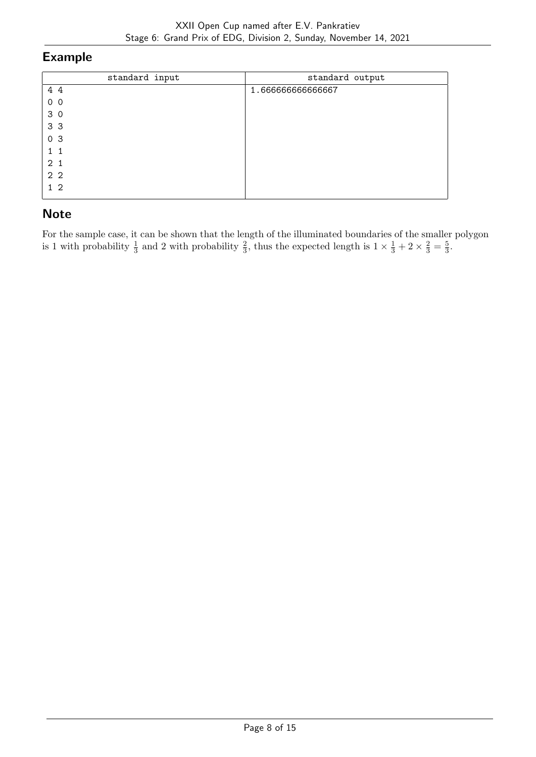#### Example

| standard input | standard output  |
|----------------|------------------|
| 4 4            | 1.66666666666667 |
| 0 <sub>0</sub> |                  |
| 3 <sub>0</sub> |                  |
| 3 <sub>3</sub> |                  |
| 0 <sup>3</sup> |                  |
| $1\quad1$      |                  |
| 2 <sub>1</sub> |                  |
| 2 <sub>2</sub> |                  |
| 1 <sub>2</sub> |                  |

## **Note**

For the sample case, it can be shown that the length of the illuminated boundaries of the smaller polygon is 1 with probability  $\frac{1}{3}$  and 2 with probability  $\frac{2}{3}$ , thus the expected length is  $1 \times \frac{1}{3} + 2 \times \frac{2}{3} = \frac{5}{3}$  $\frac{5}{3}$ .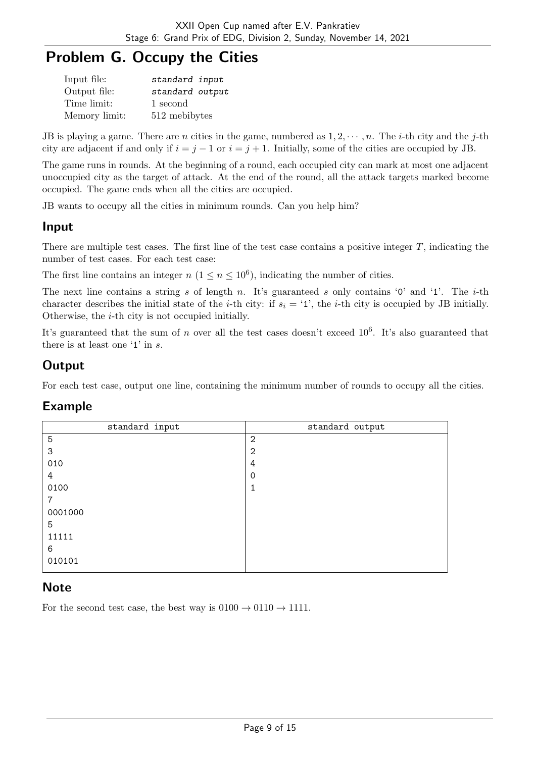# Problem G. Occupy the Cities

| Input file:   | standard input  |
|---------------|-----------------|
| Output file:  | standard output |
| Time limit:   | 1 second        |
| Memory limit: | 512 mebibytes   |

JB is playing a game. There are n cities in the game, numbered as  $1, 2, \dots, n$ . The *i*-th city and the *j*-th city are adjacent if and only if  $i = j - 1$  or  $i = j + 1$ . Initially, some of the cities are occupied by JB.

The game runs in rounds. At the beginning of a round, each occupied city can mark at most one adjacent unoccupied city as the target of attack. At the end of the round, all the attack targets marked become occupied. The game ends when all the cities are occupied.

JB wants to occupy all the cities in minimum rounds. Can you help him?

#### Input

There are multiple test cases. The first line of the test case contains a positive integer  $T$ , indicating the number of test cases. For each test case:

The first line contains an integer  $n (1 \le n \le 10^6)$ , indicating the number of cities.

The next line contains a string s of length n. It's guaranteed s only contains  $\varphi$  and  $\varphi$ . The *i*-th character describes the initial state of the *i*-th city: if  $s_i = '1'$ , the *i*-th city is occupied by JB initially. Otherwise, the  $i$ -th city is not occupied initially.

It's guaranteed that the sum of n over all the test cases doesn't exceed  $10^6$ . It's also guaranteed that there is at least one '1' in s.

### **Output**

For each test case, output one line, containing the minimum number of rounds to occupy all the cities.

#### Example

| standard input | standard output |
|----------------|-----------------|
| 5              | $\overline{2}$  |
| 3              | $\overline{2}$  |
| 010            | 4               |
| 4              | 0               |
| 0100           | T               |
| 7              |                 |
| 0001000        |                 |
| 5              |                 |
| 11111          |                 |
| 6              |                 |
| 010101         |                 |

#### **Note**

For the second test case, the best way is  $0100 \rightarrow 0110 \rightarrow 1111$ .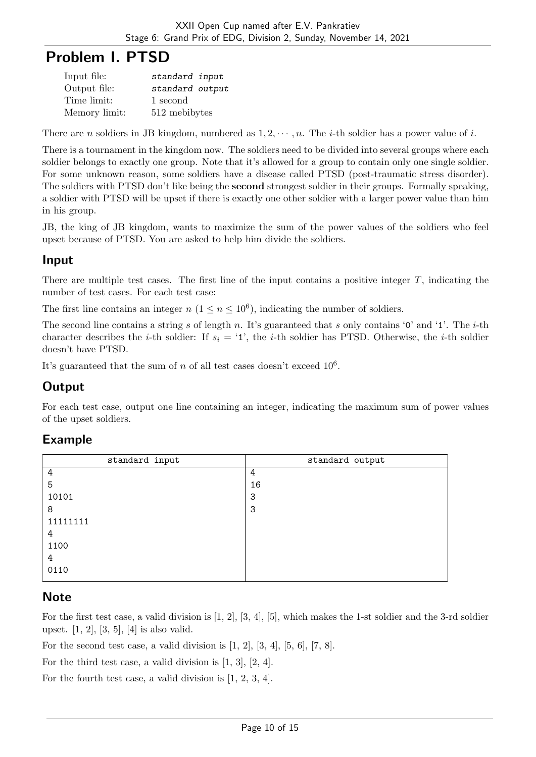## Problem I. PTSD

| Input file:   | standard input  |
|---------------|-----------------|
| Output file:  | standard output |
| Time limit:   | 1 second        |
| Memory limit: | 512 mebibytes   |

There are n soldiers in JB kingdom, numbered as  $1, 2, \dots, n$ . The *i*-th soldier has a power value of *i*.

There is a tournament in the kingdom now. The soldiers need to be divided into several groups where each soldier belongs to exactly one group. Note that it's allowed for a group to contain only one single soldier. For some unknown reason, some soldiers have a disease called PTSD (post-traumatic stress disorder). The soldiers with PTSD don't like being the second strongest soldier in their groups. Formally speaking, a soldier with PTSD will be upset if there is exactly one other soldier with a larger power value than him in his group.

JB, the king of JB kingdom, wants to maximize the sum of the power values of the soldiers who feel upset because of PTSD. You are asked to help him divide the soldiers.

#### Input

There are multiple test cases. The first line of the input contains a positive integer  $T$ , indicating the number of test cases. For each test case:

The first line contains an integer  $n (1 \le n \le 10^6)$ , indicating the number of soldiers.

The second line contains a string s of length n. It's guaranteed that s only contains '0' and '1'. The *i*-th character describes the *i*-th soldier: If  $s_i = '1'$ , the *i*-th soldier has PTSD. Otherwise, the *i*-th soldier doesn't have PTSD.

It's guaranteed that the sum of n of all test cases doesn't exceed  $10^6$ .

## **Output**

For each test case, output one line containing an integer, indicating the maximum sum of power values of the upset soldiers.

#### Example

| standard input | standard output |
|----------------|-----------------|
| $\overline{4}$ | 4               |
| 5              | 16              |
| 10101          | 3               |
| 8              | -3              |
| 11111111       |                 |
| 4              |                 |
| 1100           |                 |
| 4              |                 |
| 0110           |                 |

#### **Note**

For the first test case, a valid division is  $[1, 2]$ ,  $[3, 4]$ ,  $[5]$ , which makes the 1-st soldier and the 3-rd soldier upset. [1, 2], [3, 5], [4] is also valid.

For the second test case, a valid division is  $[1, 2]$ ,  $[3, 4]$ ,  $[5, 6]$ ,  $[7, 8]$ .

For the third test case, a valid division is [1, 3], [2, 4].

For the fourth test case, a valid division is [1, 2, 3, 4].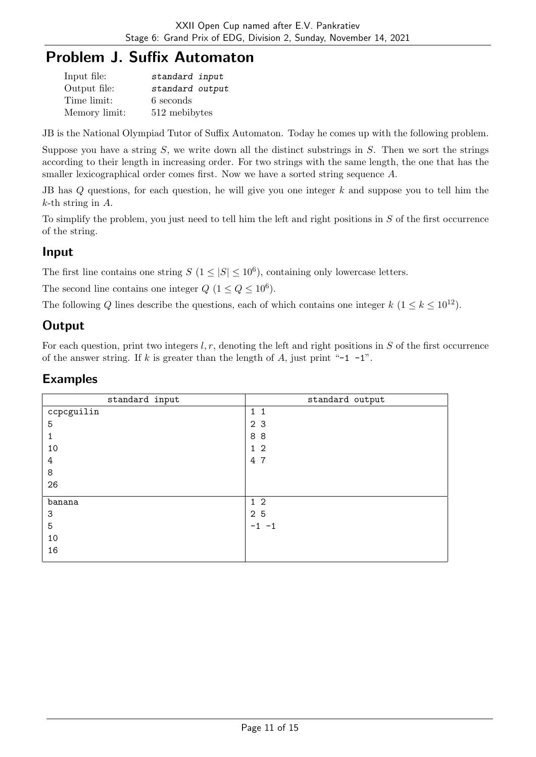# Problem J. Suffix Automaton

| Input file:   | standard input  |
|---------------|-----------------|
| Output file:  | standard output |
| Time limit:   | 6 seconds       |
| Memory limit: | 512 mebibytes   |

JB is the National Olympiad Tutor of Suffix Automaton. Today he comes up with the following problem.

Suppose you have a string  $S$ , we write down all the distinct substrings in  $S$ . Then we sort the strings according to their length in increasing order. For two strings with the same length, the one that has the smaller lexicographical order comes first. Now we have a sorted string sequence A.

JB has Q questions, for each question, he will give you one integer k and suppose you to tell him the  $k$ -th string in  $A$ .

To simplify the problem, you just need to tell him the left and right positions in S of the first occurrence of the string.

#### Input

The first line contains one string  $S(1 \leq |S| \leq 10^6)$ , containing only lowercase letters.

The second line contains one integer  $Q$   $(1 \leq Q \leq 10^6)$ .

The following Q lines describe the questions, each of which contains one integer k  $(1 \le k \le 10^{12})$ .

## **Output**

For each question, print two integers  $l, r$ , denoting the left and right positions in  $S$  of the first occurrence of the answer string. If k is greater than the length of A, just print "-1 -1".

| standard input | standard output |
|----------------|-----------------|
| ccpcguilin     | $1\quad1$       |
| 5              | 2 <sub>3</sub>  |
|                | 88              |
| 10             | 1 <sub>2</sub>  |
| 4              | 4 7             |
| 8              |                 |
| 26             |                 |
| banana         | $1\,2$          |
| 3              | 2 5             |
| 5              | $-1 -1$         |
| 10             |                 |
| 16             |                 |
|                |                 |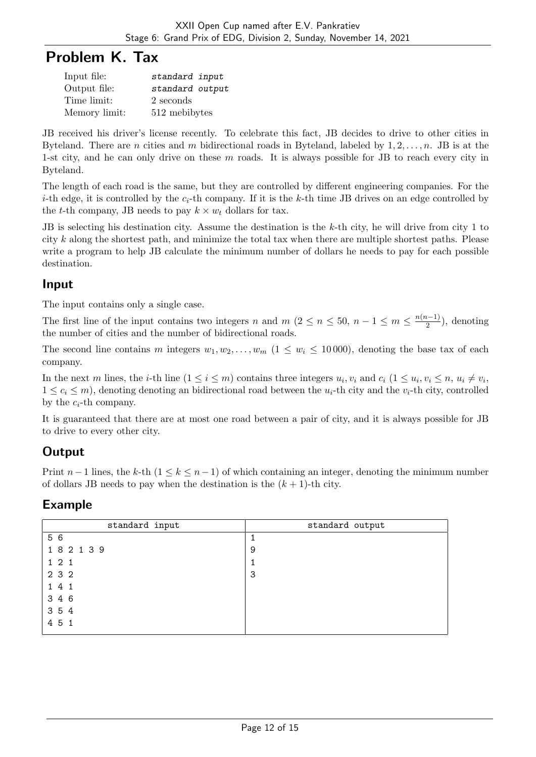## Problem K. Tax

| Input file:   | standard input  |
|---------------|-----------------|
| Output file:  | standard output |
| Time limit:   | 2 seconds       |
| Memory limit: | 512 mebibytes   |

JB received his driver's license recently. To celebrate this fact, JB decides to drive to other cities in Byteland. There are *n* cities and *m* bidirectional roads in Byteland, labeled by  $1, 2, \ldots, n$ . JB is at the 1-st city, and he can only drive on these  $m$  roads. It is always possible for JB to reach every city in Byteland.

The length of each road is the same, but they are controlled by different engineering companies. For the *i*-th edge, it is controlled by the  $c_i$ -th company. If it is the k-th time JB drives on an edge controlled by the t-th company, JB needs to pay  $k \times w_t$  dollars for tax.

JB is selecting his destination city. Assume the destination is the k-th city, he will drive from city 1 to city  $k$  along the shortest path, and minimize the total tax when there are multiple shortest paths. Please write a program to help JB calculate the minimum number of dollars he needs to pay for each possible destination.

#### Input

The input contains only a single case.

The first line of the input contains two integers n and  $m (2 \le n \le 50, n-1 \le m \le \frac{n(n-1)}{2})$  $\frac{i-1}{2}$ , denoting the number of cities and the number of bidirectional roads.

The second line contains m integers  $w_1, w_2, \ldots, w_m$  (1 <  $w_i$  < 10 000), denoting the base tax of each company.

In the next m lines, the *i*-th line  $(1 \le i \le m)$  contains three integers  $u_i, v_i$  and  $c_i$   $(1 \le u_i, v_i \le n, u_i \ne v_i,$  $1 \leq c_i \leq m$ , denoting denoting an bidirectional road between the  $u_i$ -th city and the  $v_i$ -th city, controlled by the  $c_i$ -th company.

It is guaranteed that there are at most one road between a pair of city, and it is always possible for JB to drive to every other city.

## **Output**

Print  $n-1$  lines, the k-th  $(1 \leq k \leq n-1)$  of which containing an integer, denoting the minimum number of dollars JB needs to pay when the destination is the  $(k + 1)$ -th city.

| standard input | standard output |
|----------------|-----------------|
| 5 6            |                 |
| 182139         | 9               |
| 1 2 1          |                 |
| 2 3 2          | 3               |
| 141            |                 |
| 3 4 6          |                 |
| 3 5 4          |                 |
| 4 5 1          |                 |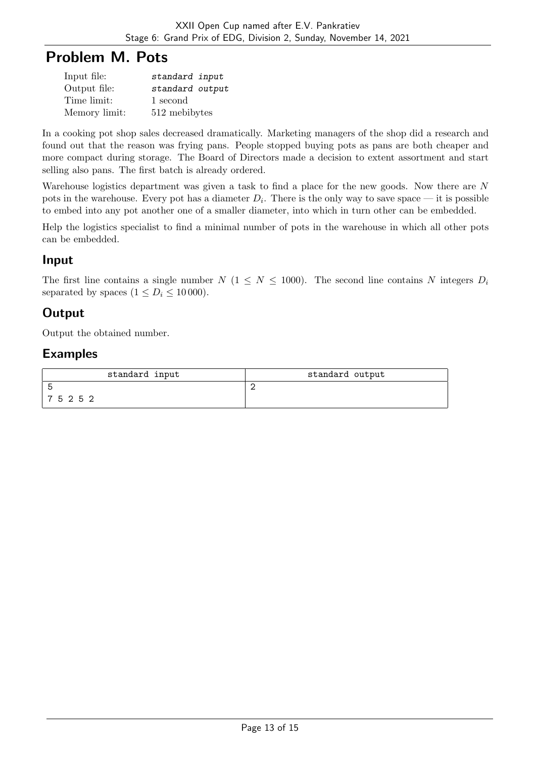## Problem M. Pots

| Input file:   | standard input  |
|---------------|-----------------|
| Output file:  | standard output |
| Time limit:   | 1 second        |
| Memory limit: | 512 mebibytes   |

In a cooking pot shop sales decreased dramatically. Marketing managers of the shop did a research and found out that the reason was frying pans. People stopped buying pots as pans are both cheaper and more compact during storage. The Board of Directors made a decision to extent assortment and start selling also pans. The first batch is already ordered.

Warehouse logistics department was given a task to find a place for the new goods. Now there are N pots in the warehouse. Every pot has a diameter  $D_i$ . There is the only way to save space — it is possible to embed into any pot another one of a smaller diameter, into which in turn other can be embedded.

Help the logistics specialist to find a minimal number of pots in the warehouse in which all other pots can be embedded.

#### Input

The first line contains a single number  $N$  ( $1 \leq N \leq 1000$ ). The second line contains N integers  $D_i$ separated by spaces  $(1 \le D_i \le 10000)$ .

## **Output**

Output the obtained number.

| standard input | standard output |
|----------------|-----------------|
|                |                 |
| 75252          |                 |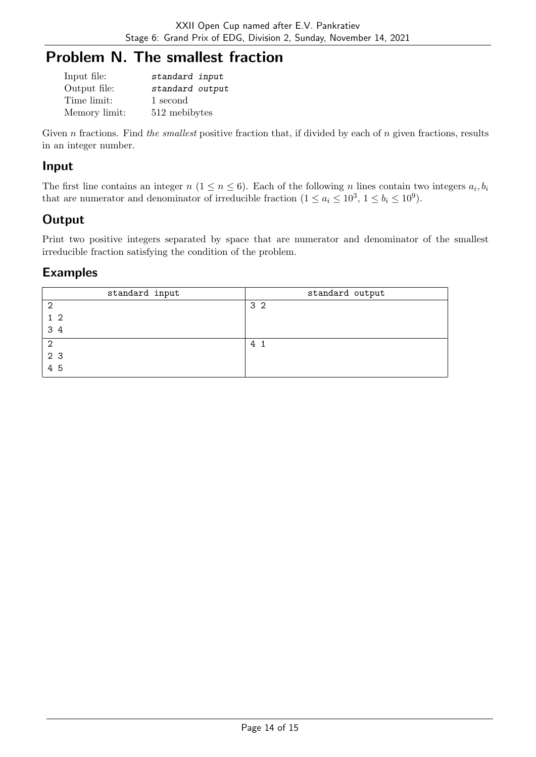## Problem N. The smallest fraction

| Input file:   | standard input  |
|---------------|-----------------|
| Output file:  | standard output |
| Time limit:   | 1 second        |
| Memory limit: | 512 mebibytes   |

Given n fractions. Find the smallest positive fraction that, if divided by each of n given fractions, results in an integer number.

#### Input

The first line contains an integer  $n (1 \le n \le 6)$ . Each of the following n lines contain two integers  $a_i, b_i$ that are numerator and denominator of irreducible fraction  $(1 \le a_i \le 10^3, 1 \le b_i \le 10^9)$ .

### **Output**

Print two positive integers separated by space that are numerator and denominator of the smallest irreducible fraction satisfying the condition of the problem.

| standard input | standard output |
|----------------|-----------------|
| റ              | 3 <sub>2</sub>  |
| 1 <sub>2</sub> |                 |
| 34             |                 |
| $\overline{2}$ | 41              |
| 2 3            |                 |
| 4 5            |                 |